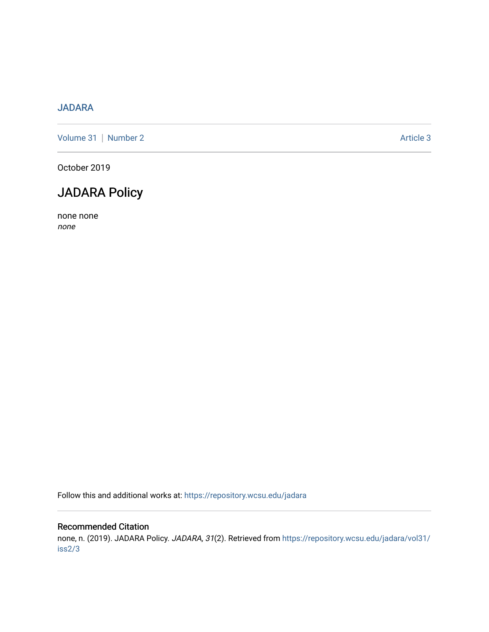# [JADARA](https://repository.wcsu.edu/jadara)

[Volume 31](https://repository.wcsu.edu/jadara/vol31) | [Number 2](https://repository.wcsu.edu/jadara/vol31/iss2) Article 3

October 2019

# JADARA Policy

none none none

Follow this and additional works at: [https://repository.wcsu.edu/jadara](https://repository.wcsu.edu/jadara?utm_source=repository.wcsu.edu%2Fjadara%2Fvol31%2Fiss2%2F3&utm_medium=PDF&utm_campaign=PDFCoverPages)

## Recommended Citation

none, n. (2019). JADARA Policy. JADARA, 31(2). Retrieved from [https://repository.wcsu.edu/jadara/vol31/](https://repository.wcsu.edu/jadara/vol31/iss2/3?utm_source=repository.wcsu.edu%2Fjadara%2Fvol31%2Fiss2%2F3&utm_medium=PDF&utm_campaign=PDFCoverPages) [iss2/3](https://repository.wcsu.edu/jadara/vol31/iss2/3?utm_source=repository.wcsu.edu%2Fjadara%2Fvol31%2Fiss2%2F3&utm_medium=PDF&utm_campaign=PDFCoverPages)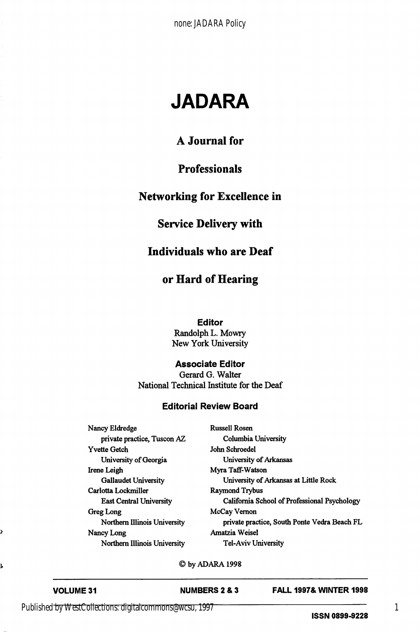# JADARA

## A Journal for

### **Professionals**

# Networking for Excellence in

### Service Delivery with

#### Individuals who are Deaf

## or Hard of Hearing

#### Editor

Randolph L. Mowry New York University

#### Associate Editor

Gerard G. Walter National Technical Institute for the Deaf

#### Editorial Review Board

Nancy Eldredge private practice, Tuscon AZ Yvette Getch University of Georgia Irene Leigh Gallaudet University Carlotta Lockmiller East Central University Greg Long Northern Illinois University Nancy Long Northern Illinois University

| <b>Russell Rosen</b>                         |
|----------------------------------------------|
| Columbia University                          |
| John Schroedel                               |
| University of Arkansas                       |
| Myra Taff-Watson                             |
| University of Arkansas at Little Rock        |
| Raymond Trybus                               |
| California School of Professional Psychology |
| McCay Vernon                                 |
| private practice, South Ponte Vedra Beach FL |
| Amatzia Weisel                               |
| Tel-Aviv Universitv                          |

©byADARAI998

Ş

ļ,

VOLUME 31 NUMBERS 2 & 3 FALL 1997& WINTER 1998

Published by WestCollections: digitalcommons@wcsu, 1997